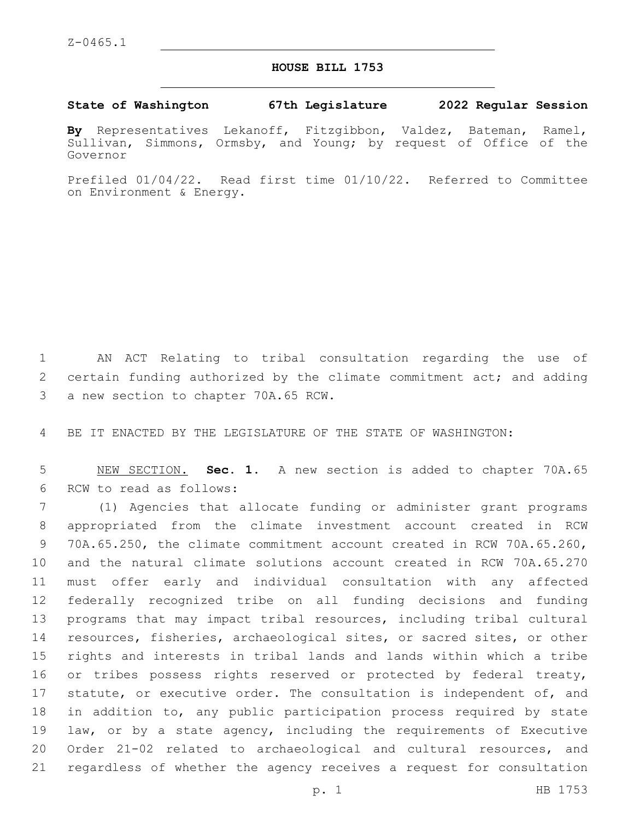## **HOUSE BILL 1753**

## **State of Washington 67th Legislature 2022 Regular Session**

**By** Representatives Lekanoff, Fitzgibbon, Valdez, Bateman, Ramel, Sullivan, Simmons, Ormsby, and Young; by request of Office of the Governor

Prefiled 01/04/22. Read first time 01/10/22. Referred to Committee on Environment & Energy.

1 AN ACT Relating to tribal consultation regarding the use of 2 certain funding authorized by the climate commitment act; and adding 3 a new section to chapter 70A.65 RCW.

4 BE IT ENACTED BY THE LEGISLATURE OF THE STATE OF WASHINGTON:

5 NEW SECTION. **Sec. 1.** A new section is added to chapter 70A.65 6 RCW to read as follows:

 (1) Agencies that allocate funding or administer grant programs appropriated from the climate investment account created in RCW 70A.65.250, the climate commitment account created in RCW 70A.65.260, and the natural climate solutions account created in RCW 70A.65.270 must offer early and individual consultation with any affected federally recognized tribe on all funding decisions and funding programs that may impact tribal resources, including tribal cultural resources, fisheries, archaeological sites, or sacred sites, or other rights and interests in tribal lands and lands within which a tribe 16 or tribes possess rights reserved or protected by federal treaty, 17 statute, or executive order. The consultation is independent of, and in addition to, any public participation process required by state law, or by a state agency, including the requirements of Executive Order 21-02 related to archaeological and cultural resources, and regardless of whether the agency receives a request for consultation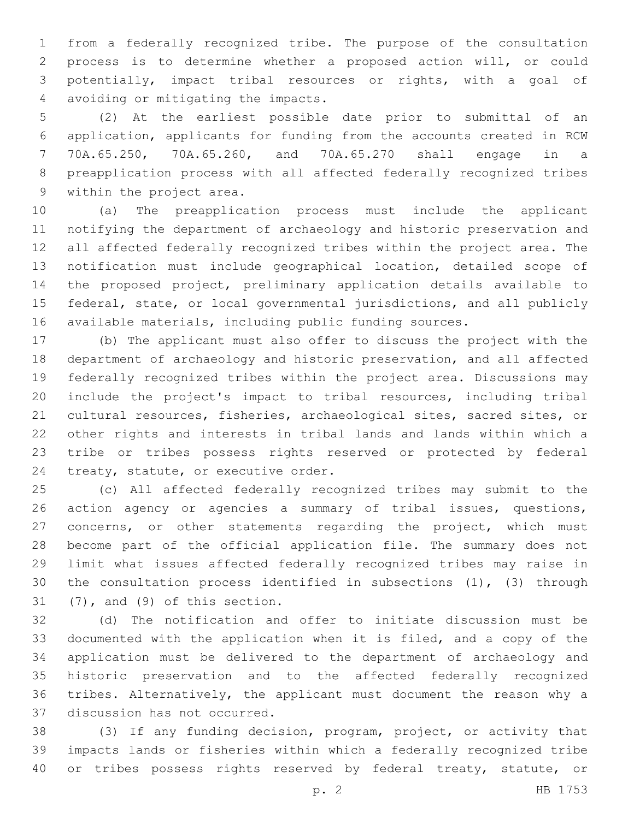from a federally recognized tribe. The purpose of the consultation process is to determine whether a proposed action will, or could potentially, impact tribal resources or rights, with a goal of avoiding or mitigating the impacts.4

 (2) At the earliest possible date prior to submittal of an application, applicants for funding from the accounts created in RCW 70A.65.250, 70A.65.260, and 70A.65.270 shall engage in a preapplication process with all affected federally recognized tribes 9 within the project area.

 (a) The preapplication process must include the applicant notifying the department of archaeology and historic preservation and all affected federally recognized tribes within the project area. The notification must include geographical location, detailed scope of the proposed project, preliminary application details available to federal, state, or local governmental jurisdictions, and all publicly available materials, including public funding sources.

 (b) The applicant must also offer to discuss the project with the department of archaeology and historic preservation, and all affected federally recognized tribes within the project area. Discussions may include the project's impact to tribal resources, including tribal cultural resources, fisheries, archaeological sites, sacred sites, or other rights and interests in tribal lands and lands within which a tribe or tribes possess rights reserved or protected by federal 24 treaty, statute, or executive order.

 (c) All affected federally recognized tribes may submit to the action agency or agencies a summary of tribal issues, questions, concerns, or other statements regarding the project, which must become part of the official application file. The summary does not limit what issues affected federally recognized tribes may raise in the consultation process identified in subsections (1), (3) through  $(7)$ , and  $(9)$  of this section.

 (d) The notification and offer to initiate discussion must be documented with the application when it is filed, and a copy of the application must be delivered to the department of archaeology and historic preservation and to the affected federally recognized tribes. Alternatively, the applicant must document the reason why a 37 discussion has not occurred.

 (3) If any funding decision, program, project, or activity that impacts lands or fisheries within which a federally recognized tribe 40 or tribes possess rights reserved by federal treaty, statute, or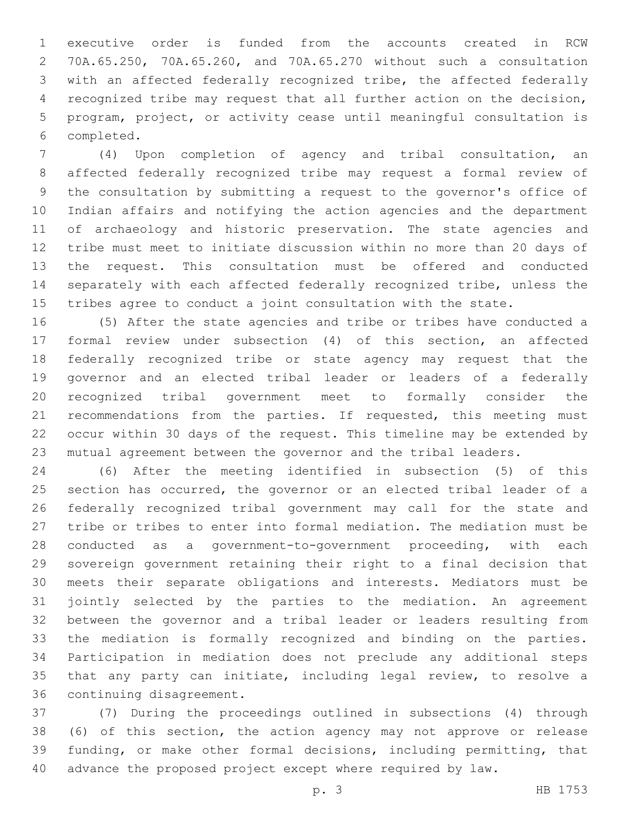executive order is funded from the accounts created in RCW 70A.65.250, 70A.65.260, and 70A.65.270 without such a consultation with an affected federally recognized tribe, the affected federally recognized tribe may request that all further action on the decision, program, project, or activity cease until meaningful consultation is completed.6

 (4) Upon completion of agency and tribal consultation, an affected federally recognized tribe may request a formal review of the consultation by submitting a request to the governor's office of Indian affairs and notifying the action agencies and the department of archaeology and historic preservation. The state agencies and tribe must meet to initiate discussion within no more than 20 days of the request. This consultation must be offered and conducted separately with each affected federally recognized tribe, unless the tribes agree to conduct a joint consultation with the state.

 (5) After the state agencies and tribe or tribes have conducted a formal review under subsection (4) of this section, an affected federally recognized tribe or state agency may request that the governor and an elected tribal leader or leaders of a federally recognized tribal government meet to formally consider the 21 recommendations from the parties. If requested, this meeting must occur within 30 days of the request. This timeline may be extended by mutual agreement between the governor and the tribal leaders.

 (6) After the meeting identified in subsection (5) of this section has occurred, the governor or an elected tribal leader of a federally recognized tribal government may call for the state and tribe or tribes to enter into formal mediation. The mediation must be conducted as a government-to-government proceeding, with each sovereign government retaining their right to a final decision that meets their separate obligations and interests. Mediators must be jointly selected by the parties to the mediation. An agreement between the governor and a tribal leader or leaders resulting from the mediation is formally recognized and binding on the parties. Participation in mediation does not preclude any additional steps that any party can initiate, including legal review, to resolve a 36 continuing disagreement.

 (7) During the proceedings outlined in subsections (4) through (6) of this section, the action agency may not approve or release funding, or make other formal decisions, including permitting, that advance the proposed project except where required by law.